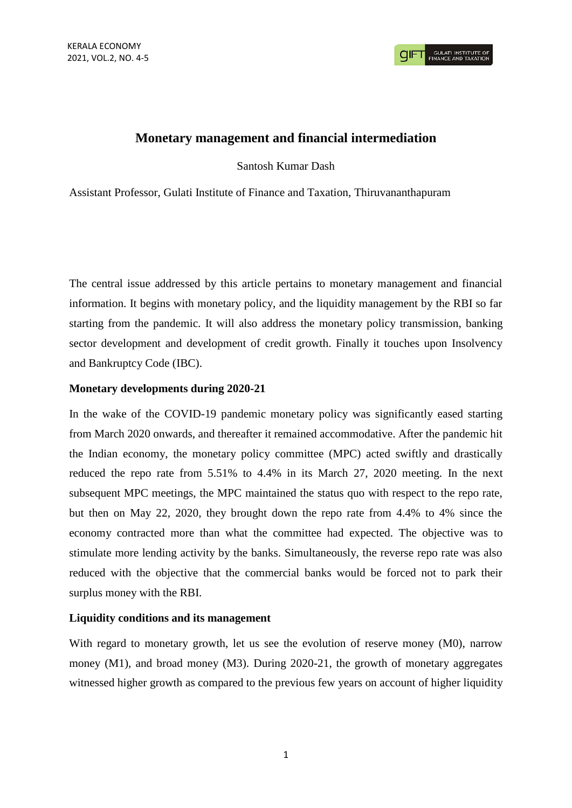# **Monetary management and financial intermediation**

Santosh Kumar Dash

Assistant Professor, Gulati Institute of Finance and Taxation, Thiruvananthapuram

The central issue addressed by this article pertains to monetary management and financial information. It begins with monetary policy, and the liquidity management by the RBI so far starting from the pandemic. It will also address the monetary policy transmission, banking sector development and development of credit growth. Finally it touches upon Insolvency and Bankruptcy Code (IBC).

# **Monetary developments during 2020-21**

In the wake of the COVID-19 pandemic monetary policy was significantly eased starting from March 2020 onwards, and thereafter it remained accommodative. After the pandemic hit the Indian economy, the monetary policy committee (MPC) acted swiftly and drastically reduced the repo rate from 5.51% to 4.4% in its March 27, 2020 meeting. In the next subsequent MPC meetings, the MPC maintained the status quo with respect to the repo rate, but then on May 22, 2020, they brought down the repo rate from 4.4% to 4% since the economy contracted more than what the committee had expected. The objective was to stimulate more lending activity by the banks. Simultaneously, the reverse repo rate was also reduced with the objective that the commercial banks would be forced not to park their surplus money with the RBI.

# **Liquidity conditions and its management**

With regard to monetary growth, let us see the evolution of reserve money (M0), narrow money (M1), and broad money (M3). During 2020-21, the growth of monetary aggregates witnessed higher growth as compared to the previous few years on account of higher liquidity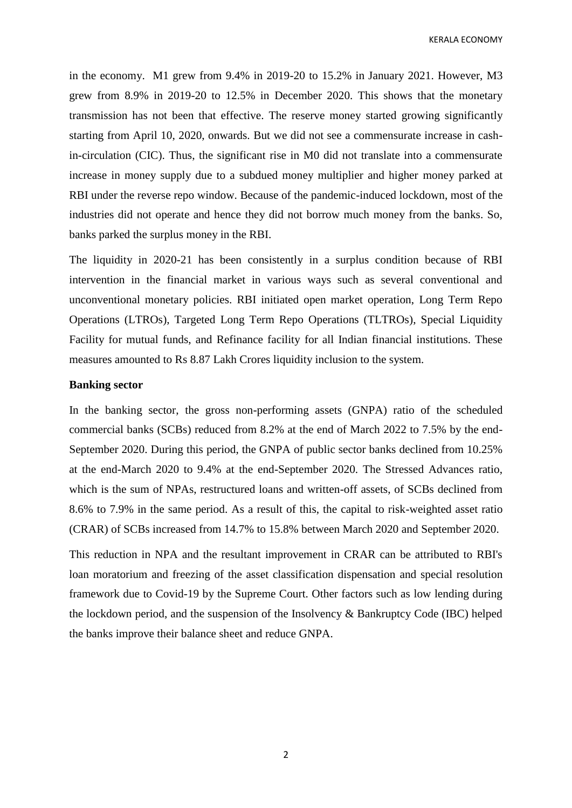KERALA ECONOMY

in the economy. M1 grew from 9.4% in 2019-20 to 15.2% in January 2021. However, M3 grew from 8.9% in 2019-20 to 12.5% in December 2020. This shows that the monetary transmission has not been that effective. The reserve money started growing significantly starting from April 10, 2020, onwards. But we did not see a commensurate increase in cashin-circulation (CIC). Thus, the significant rise in M0 did not translate into a commensurate increase in money supply due to a subdued money multiplier and higher money parked at RBI under the reverse repo window. Because of the pandemic-induced lockdown, most of the industries did not operate and hence they did not borrow much money from the banks. So, banks parked the surplus money in the RBI.

The liquidity in 2020-21 has been consistently in a surplus condition because of RBI intervention in the financial market in various ways such as several conventional and unconventional monetary policies. RBI initiated open market operation, Long Term Repo Operations (LTROs), Targeted Long Term Repo Operations (TLTROs), Special Liquidity Facility for mutual funds, and Refinance facility for all Indian financial institutions. These measures amounted to Rs 8.87 Lakh Crores liquidity inclusion to the system.

#### **Banking sector**

In the banking sector, the gross non-performing assets (GNPA) ratio of the scheduled commercial banks (SCBs) reduced from 8.2% at the end of March 2022 to 7.5% by the end-September 2020. During this period, the GNPA of public sector banks declined from 10.25% at the end-March 2020 to 9.4% at the end-September 2020. The Stressed Advances ratio, which is the sum of NPAs, restructured loans and written-off assets, of SCBs declined from 8.6% to 7.9% in the same period. As a result of this, the capital to risk-weighted asset ratio (CRAR) of SCBs increased from 14.7% to 15.8% between March 2020 and September 2020.

This reduction in NPA and the resultant improvement in CRAR can be attributed to RBI's loan moratorium and freezing of the asset classification dispensation and special resolution framework due to Covid-19 by the Supreme Court. Other factors such as low lending during the lockdown period, and the suspension of the Insolvency & Bankruptcy Code (IBC) helped the banks improve their balance sheet and reduce GNPA.

2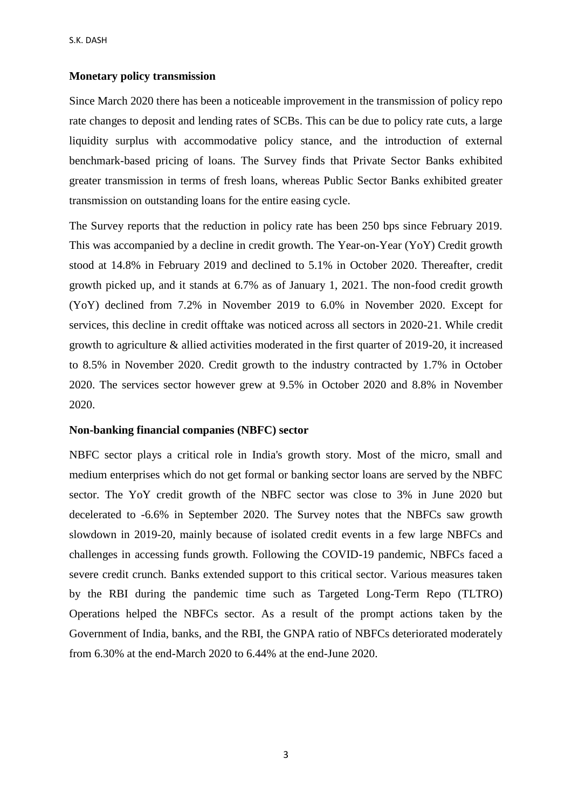#### **Monetary policy transmission**

Since March 2020 there has been a noticeable improvement in the transmission of policy repo rate changes to deposit and lending rates of SCBs. This can be due to policy rate cuts, a large liquidity surplus with accommodative policy stance, and the introduction of external benchmark-based pricing of loans. The Survey finds that Private Sector Banks exhibited greater transmission in terms of fresh loans, whereas Public Sector Banks exhibited greater transmission on outstanding loans for the entire easing cycle.

The Survey reports that the reduction in policy rate has been 250 bps since February 2019. This was accompanied by a decline in credit growth. The Year-on-Year (YoY) Credit growth stood at 14.8% in February 2019 and declined to 5.1% in October 2020. Thereafter, credit growth picked up, and it stands at 6.7% as of January 1, 2021. The non-food credit growth (YoY) declined from 7.2% in November 2019 to 6.0% in November 2020. Except for services, this decline in credit offtake was noticed across all sectors in 2020-21. While credit growth to agriculture & allied activities moderated in the first quarter of 2019-20, it increased to 8.5% in November 2020. Credit growth to the industry contracted by 1.7% in October 2020. The services sector however grew at 9.5% in October 2020 and 8.8% in November 2020.

# **Non-banking financial companies (NBFC) sector**

NBFC sector plays a critical role in India's growth story. Most of the micro, small and medium enterprises which do not get formal or banking sector loans are served by the NBFC sector. The YoY credit growth of the NBFC sector was close to 3% in June 2020 but decelerated to -6.6% in September 2020. The Survey notes that the NBFCs saw growth slowdown in 2019-20, mainly because of isolated credit events in a few large NBFCs and challenges in accessing funds growth. Following the COVID-19 pandemic, NBFCs faced a severe credit crunch. Banks extended support to this critical sector. Various measures taken by the RBI during the pandemic time such as Targeted Long-Term Repo (TLTRO) Operations helped the NBFCs sector. As a result of the prompt actions taken by the Government of India, banks, and the RBI, the GNPA ratio of NBFCs deteriorated moderately from 6.30% at the end-March 2020 to 6.44% at the end-June 2020.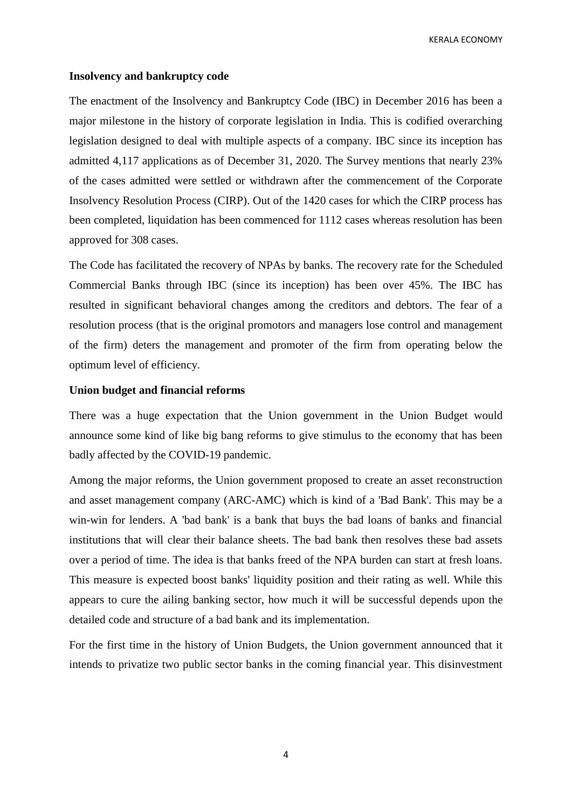KERALA ECONOMY

# **Insolvency and bankruptcy code**

The enactment of the Insolvency and Bankruptcy Code (IBC) in December 2016 has been a major milestone in the history of corporate legislation in India. This is codified overarching legislation designed to deal with multiple aspects of a company. IBC since its inception has admitted 4,117 applications as of December 31, 2020. The Survey mentions that nearly 23% of the cases admitted were settled or withdrawn after the commencement of the Corporate Insolvency Resolution Process (CIRP). Out of the 1420 cases for which the CIRP process has been completed, liquidation has been commenced for 1112 cases whereas resolution has been approved for 308 cases.

The Code has facilitated the recovery of NPAs by banks. The recovery rate for the Scheduled Commercial Banks through IBC (since its inception) has been over 45%. The IBC has resulted in significant behavioral changes among the creditors and debtors. The fear of a resolution process (that is the original promotors and managers lose control and management of the firm) deters the management and promoter of the firm from operating below the optimum level of efficiency.

# **Union budget and financial reforms**

There was a huge expectation that the Union government in the Union Budget would announce some kind of like big bang reforms to give stimulus to the economy that has been badly affected by the COVID-19 pandemic.

Among the major reforms, the Union government proposed to create an asset reconstruction and asset management company (ARC-AMC) which is kind of a 'Bad Bank'. This may be a win-win for lenders. A 'bad bank' is a bank that buys the bad loans of banks and financial institutions that will clear their balance sheets. The bad bank then resolves these bad assets over a period of time. The idea is that banks freed of the NPA burden can start at fresh loans. This measure is expected boost banks' liquidity position and their rating as well. While this appears to cure the ailing banking sector, how much it will be successful depends upon the detailed code and structure of a bad bank and its implementation.

For the first time in the history of Union Budgets, the Union government announced that it intends to privatize two public sector banks in the coming financial year. This disinvestment